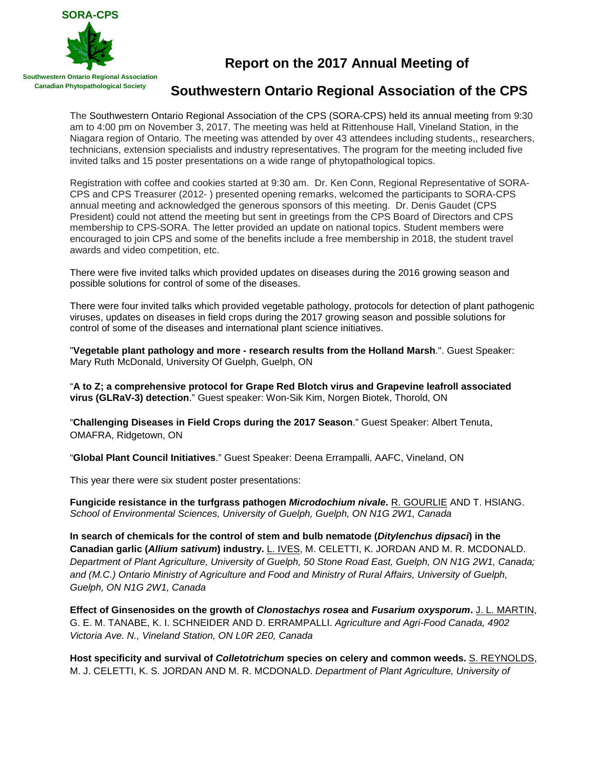

## **Report on the 2017 Annual Meeting of**

## **Southwestern Ontario Regional Association of the CPS**

The Southwestern Ontario Regional Association of the CPS (SORA-CPS) held its annual meeting from 9:30 am to 4:00 pm on November 3, 2017. The meeting was held at Rittenhouse Hall, Vineland Station, in the Niagara region of Ontario. The meeting was attended by over 43 attendees including students,, researchers, technicians, extension specialists and industry representatives. The program for the meeting included five invited talks and 15 poster presentations on a wide range of phytopathological topics.

Registration with coffee and cookies started at 9:30 am. Dr. Ken Conn, Regional Representative of SORA-CPS and CPS Treasurer (2012- ) presented opening remarks, welcomed the participants to SORA-CPS annual meeting and acknowledged the generous sponsors of this meeting. Dr. Denis Gaudet (CPS President) could not attend the meeting but sent in greetings from the CPS Board of Directors and CPS membership to CPS-SORA. The letter provided an update on national topics. Student members were encouraged to join CPS and some of the benefits include a free membership in 2018, the student travel awards and video competition, etc.

There were five invited talks which provided updates on diseases during the 2016 growing season and possible solutions for control of some of the diseases.

There were four invited talks which provided vegetable pathology, protocols for detection of plant pathogenic viruses, updates on diseases in field crops during the 2017 growing season and possible solutions for control of some of the diseases and international plant science initiatives.

"**Vegetable plant pathology and more - research results from the Holland Marsh**.". Guest Speaker: Mary Ruth McDonald, University Of Guelph, Guelph, ON

"**A to Z; a comprehensive protocol for Grape Red Blotch virus and Grapevine leafroll associated virus (GLRaV-3) detection**." Guest speaker: Won-Sik Kim, Norgen Biotek, Thorold, ON

"**Challenging Diseases in Field Crops during the 2017 Season**." Guest Speaker: Albert Tenuta, OMAFRA, Ridgetown, ON

"**Global Plant Council Initiatives**." Guest Speaker: Deena Errampalli, AAFC, Vineland, ON

This year there were six student poster presentations:

**Fungicide resistance in the turfgrass pathogen** *Microdochium nivale***.** R. GOURLIE AND T. HSIANG. *School of Environmental Sciences, University of Guelph, Guelph, ON N1G 2W1, Canada*

**In search of chemicals for the control of stem and bulb nematode (***Ditylenchus dipsaci***) in the Canadian garlic (***Allium sativum***) industry.** L. IVES, M. CELETTI, K. JORDAN AND M. R. MCDONALD. *Department of Plant Agriculture, University of Guelph, 50 Stone Road East, Guelph, ON N1G 2W1, Canada; and (M.C.) Ontario Ministry of Agriculture and Food and Ministry of Rural Affairs, University of Guelph, Guelph, ON N1G 2W1, Canada*

**Effect of Ginsenosides on the growth of** *Clonostachys rosea* **and** *Fusarium oxysporum***.** J. L. MARTIN, G. E. M. TANABE, K. I. SCHNEIDER AND D. ERRAMPALLI. *Agriculture and Agri-Food Canada, 4902 Victoria Ave. N., Vineland Station, ON L0R 2E0, Canada*

**Host specificity and survival of** *Colletotrichum* **species on celery and common weeds.** S. REYNOLDS, M. J. CELETTI, K. S. JORDAN AND M. R. MCDONALD. *Department of Plant Agriculture, University of*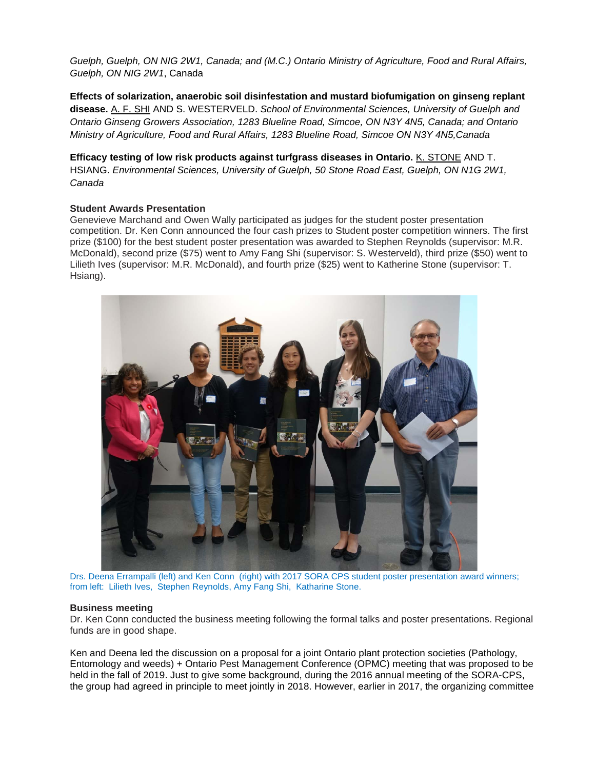*Guelph, Guelph, ON NIG 2W1, Canada; and (M.C.) Ontario Ministry of Agriculture, Food and Rural Affairs, Guelph, ON NIG 2W1*, Canada

**Effects of solarization, anaerobic soil disinfestation and mustard biofumigation on ginseng replant disease.** A. F. SHI AND S. WESTERVELD. *School of Environmental Sciences, University of Guelph and Ontario Ginseng Growers Association, 1283 Blueline Road, Simcoe, ON N3Y 4N5, Canada; and Ontario Ministry of Agriculture, Food and Rural Affairs, 1283 Blueline Road, Simcoe ON N3Y 4N5,Canada*

**Efficacy testing of low risk products against turfgrass diseases in Ontario.** K. STONE AND T. HSIANG. *Environmental Sciences, University of Guelph, 50 Stone Road East, Guelph, ON N1G 2W1, Canada*

## **Student Awards Presentation**

Genevieve Marchand and Owen Wally participated as judges for the student poster presentation competition. Dr. Ken Conn announced the four cash prizes to Student poster competition winners. The first prize (\$100) for the best student poster presentation was awarded to Stephen Reynolds (supervisor: M.R. McDonald), second prize (\$75) went to Amy Fang Shi (supervisor: S. Westerveld), third prize (\$50) went to Lilieth Ives (supervisor: M.R. McDonald), and fourth prize (\$25) went to Katherine Stone (supervisor: T. Hsiang).



Drs. Deena Errampalli (left) and Ken Conn (right) with 2017 SORA CPS student poster presentation award winners; from left: Lilieth Ives, Stephen Reynolds, Amy Fang Shi, Katharine Stone.

## **Business meeting**

Dr. Ken Conn conducted the business meeting following the formal talks and poster presentations. Regional funds are in good shape.

Ken and Deena led the discussion on a proposal for a joint Ontario plant protection societies (Pathology, Entomology and weeds) + Ontario Pest Management Conference (OPMC) meeting that was proposed to be held in the fall of 2019. Just to give some background, during the 2016 annual meeting of the SORA-CPS, the group had agreed in principle to meet jointly in 2018. However, earlier in 2017, the organizing committee